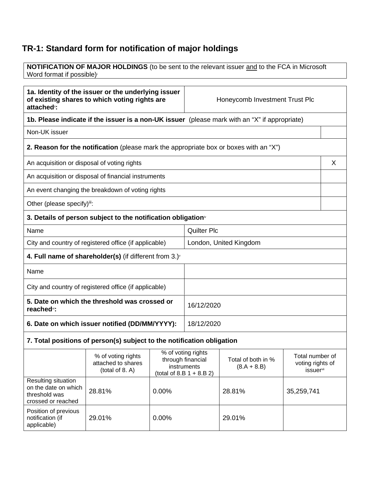## **TR-1: Standard form for notification of major holdings**

**NOTIFICATION OF MAJOR HOLDINGS** (to be sent to the relevant issuer and to the FCA in Microsoft Word format if possible)<sup>i</sup>

| 1a. Identity of the issuer or the underlying issuer<br>of existing shares to which voting rights are<br>attached <sup>®</sup> : |                                                                                                                                                                                             |                                                                                               | Honeycomb Investment Trust Plc                   |        |            |   |
|---------------------------------------------------------------------------------------------------------------------------------|---------------------------------------------------------------------------------------------------------------------------------------------------------------------------------------------|-----------------------------------------------------------------------------------------------|--------------------------------------------------|--------|------------|---|
|                                                                                                                                 |                                                                                                                                                                                             | 1b. Please indicate if the issuer is a non-UK issuer (please mark with an "X" if appropriate) |                                                  |        |            |   |
| Non-UK issuer                                                                                                                   |                                                                                                                                                                                             |                                                                                               |                                                  |        |            |   |
|                                                                                                                                 | <b>2. Reason for the notification</b> (please mark the appropriate box or boxes with an "X")                                                                                                |                                                                                               |                                                  |        |            |   |
| An acquisition or disposal of voting rights                                                                                     |                                                                                                                                                                                             |                                                                                               |                                                  |        |            | X |
|                                                                                                                                 | An acquisition or disposal of financial instruments                                                                                                                                         |                                                                                               |                                                  |        |            |   |
|                                                                                                                                 | An event changing the breakdown of voting rights                                                                                                                                            |                                                                                               |                                                  |        |            |   |
| Other (please specify)iii:                                                                                                      |                                                                                                                                                                                             |                                                                                               |                                                  |        |            |   |
|                                                                                                                                 | 3. Details of person subject to the notification obligation <sup>*</sup>                                                                                                                    |                                                                                               |                                                  |        |            |   |
| Name                                                                                                                            |                                                                                                                                                                                             |                                                                                               | <b>Quilter Plc</b>                               |        |            |   |
|                                                                                                                                 | City and country of registered office (if applicable)                                                                                                                                       |                                                                                               | London, United Kingdom                           |        |            |   |
| 4. Full name of shareholder(s) (if different from $3.$ ) $\check{ }$                                                            |                                                                                                                                                                                             |                                                                                               |                                                  |        |            |   |
| Name                                                                                                                            |                                                                                                                                                                                             |                                                                                               |                                                  |        |            |   |
| City and country of registered office (if applicable)                                                                           |                                                                                                                                                                                             |                                                                                               |                                                  |        |            |   |
| 5. Date on which the threshold was crossed or<br>reached <sup>vi</sup> :                                                        |                                                                                                                                                                                             |                                                                                               | 16/12/2020                                       |        |            |   |
| 6. Date on which issuer notified (DD/MM/YYYY):                                                                                  |                                                                                                                                                                                             |                                                                                               | 18/12/2020                                       |        |            |   |
| 7. Total positions of person(s) subject to the notification obligation                                                          |                                                                                                                                                                                             |                                                                                               |                                                  |        |            |   |
|                                                                                                                                 | % of voting rights<br>% of voting rights<br>through financial<br>Total of both in %<br>attached to shares<br>instruments<br>$(8.A + 8.B)$<br>(total of 8. A)<br>(total of 8.B $1 + 8.B 2$ ) |                                                                                               | Total number of<br>voting rights of<br>issuervii |        |            |   |
| Resulting situation<br>on the date on which<br>threshold was<br>crossed or reached                                              | 28.81%                                                                                                                                                                                      | 0.00%                                                                                         |                                                  | 28.81% | 35,259,741 |   |
| Position of previous<br>notification (if<br>applicable)                                                                         | 29.01%                                                                                                                                                                                      | 0.00%                                                                                         |                                                  | 29.01% |            |   |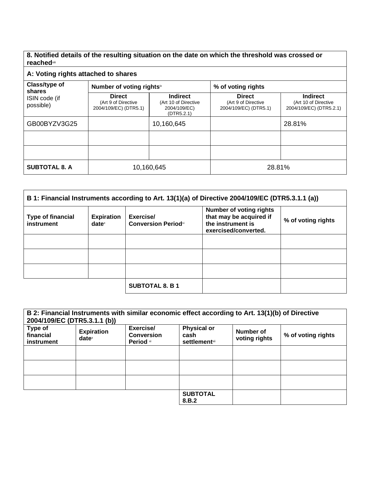**8. Notified details of the resulting situation on the date on which the threshold was crossed or reached**viii

## **A: Voting rights attached to shares**

| Class/type of<br>shares<br>ISIN code (if<br>possible) | Number of voting rightsix                                     |                                                                       | % of voting rights                                            |                                                                    |  |
|-------------------------------------------------------|---------------------------------------------------------------|-----------------------------------------------------------------------|---------------------------------------------------------------|--------------------------------------------------------------------|--|
|                                                       | <b>Direct</b><br>(Art 9 of Directive<br>2004/109/EC) (DTR5.1) | <b>Indirect</b><br>(Art 10 of Directive<br>2004/109/EC)<br>(DTR5.2.1) | <b>Direct</b><br>(Art 9 of Directive<br>2004/109/EC) (DTR5.1) | <b>Indirect</b><br>(Art 10 of Directive<br>2004/109/EC) (DTR5.2.1) |  |
| GB00BYZV3G25                                          |                                                               | 10,160,645                                                            |                                                               | 28.81%                                                             |  |
|                                                       |                                                               |                                                                       |                                                               |                                                                    |  |
|                                                       |                                                               |                                                                       |                                                               |                                                                    |  |
| <b>SUBTOTAL 8. A</b>                                  | 10,160,645                                                    |                                                                       | 28.81%                                                        |                                                                    |  |

| B 1: Financial Instruments according to Art. 13(1)(a) of Directive 2004/109/EC (DTR5.3.1.1 (a)) |                                      |                                         |                                                                                                        |                    |
|-------------------------------------------------------------------------------------------------|--------------------------------------|-----------------------------------------|--------------------------------------------------------------------------------------------------------|--------------------|
| <b>Type of financial</b><br>instrument                                                          | <b>Expiration</b><br>$date^{\times}$ | Exercise/<br><b>Conversion Periodxi</b> | <b>Number of voting rights</b><br>that may be acquired if<br>the instrument is<br>exercised/converted. | % of voting rights |
|                                                                                                 |                                      |                                         |                                                                                                        |                    |
|                                                                                                 |                                      |                                         |                                                                                                        |                    |
|                                                                                                 |                                      |                                         |                                                                                                        |                    |
|                                                                                                 |                                      | <b>SUBTOTAL 8. B 1</b>                  |                                                                                                        |                    |

| B 2: Financial Instruments with similar economic effect according to Art. 13(1)(b) of Directive<br>2004/109/EC (DTR5.3.1.1 (b)) |                               |                                             |                                                     |                            |                    |
|---------------------------------------------------------------------------------------------------------------------------------|-------------------------------|---------------------------------------------|-----------------------------------------------------|----------------------------|--------------------|
| Type of<br>financial<br>instrument                                                                                              | <b>Expiration</b><br>$date^x$ | Exercise/<br><b>Conversion</b><br>Period xi | <b>Physical or</b><br>cash<br><b>settlement</b> xii | Number of<br>voting rights | % of voting rights |
|                                                                                                                                 |                               |                                             |                                                     |                            |                    |
|                                                                                                                                 |                               |                                             |                                                     |                            |                    |
|                                                                                                                                 |                               |                                             |                                                     |                            |                    |
|                                                                                                                                 |                               |                                             | <b>SUBTOTAL</b><br>8.B.2                            |                            |                    |